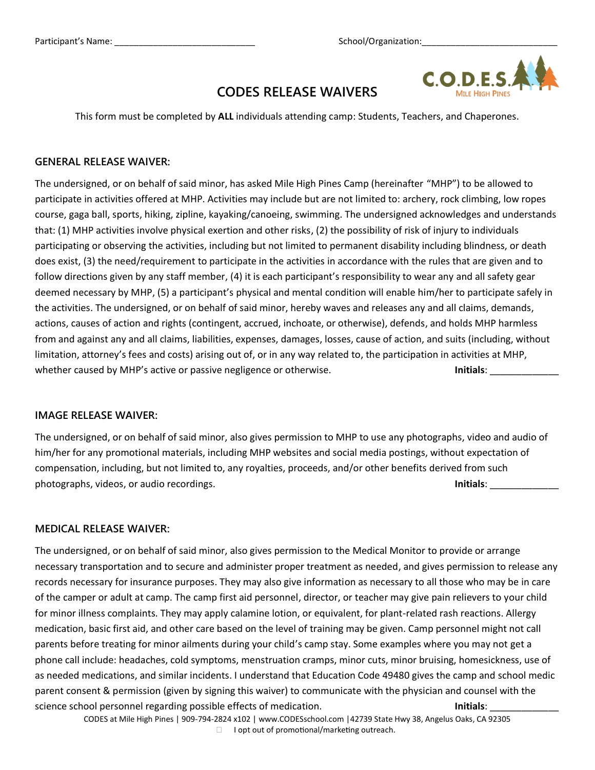

## **CODES RELEASE WAIVERS**

This form must be completed by **ALL** individuals attending camp: Students, Teachers, and Chaperones.

#### **GENERAL RELEASE WAIVER:**

The undersigned, or on behalf of said minor, has asked Mile High Pines Camp (hereinafter "MHP") to be allowed to participate in activities offered at MHP. Activities may include but are not limited to: archery, rock climbing, low ropes course, gaga ball, sports, hiking, zipline, kayaking/canoeing, swimming. The undersigned acknowledges and understands that: (1) MHP activities involve physical exertion and other risks, (2) the possibility of risk of injury to individuals participating or observing the activities, including but not limited to permanent disability including blindness, or death does exist, (3) the need/requirement to participate in the activities in accordance with the rules that are given and to follow directions given by any staff member, (4) it is each participant's responsibility to wear any and all safety gear deemed necessary by MHP, (5) a participant's physical and mental condition will enable him/her to participate safely in the activities. The undersigned, or on behalf of said minor, hereby waves and releases any and all claims, demands, actions, causes of action and rights (contingent, accrued, inchoate, or otherwise), defends, and holds MHP harmless from and against any and all claims, liabilities, expenses, damages, losses, cause of action, and suits (including, without limitation, attorney's fees and costs) arising out of, or in any way related to, the participation in activities at MHP, whether caused by MHP's active or passive negligence or otherwise. **Initials**: \_\_\_\_\_\_\_\_\_\_\_\_\_

#### **IMAGE RELEASE WAIVER:**

The undersigned, or on behalf of said minor, also gives permission to MHP to use any photographs, video and audio of him/her for any promotional materials, including MHP websites and social media postings, without expectation of compensation, including, but not limited to, any royalties, proceeds, and/or other benefits derived from such photographs, videos, or audio recordings. **Initials**: **Initials**:

### **MEDICAL RELEASE WAIVER:**

The undersigned, or on behalf of said minor, also gives permission to the Medical Monitor to provide or arrange necessary transportation and to secure and administer proper treatment as needed, and gives permission to release any records necessary for insurance purposes. They may also give information as necessary to all those who may be in care of the camper or adult at camp. The camp first aid personnel, director, or teacher may give pain relievers to your child for minor illness complaints. They may apply calamine lotion, or equivalent, for plant-related rash reactions. Allergy medication, basic first aid, and other care based on the level of training may be given. Camp personnel might not call parents before treating for minor ailments during your child's camp stay. Some examples where you may not get a phone call include: headaches, cold symptoms, menstruation cramps, minor cuts, minor bruising, homesickness, use of as needed medications, and similar incidents. I understand that Education Code 49480 gives the camp and school medic parent consent & permission (given by signing this waiver) to communicate with the physician and counsel with the science school personnel regarding possible effects of medication. **Initials**: **Initials**:

CODES at Mile High Pines | 909-794-2824 x102 | www.CODESschool.com |42739 State Hwy 38, Angelus Oaks, CA 92305

 $\Box$  I opt out of promotional/marketing outreach.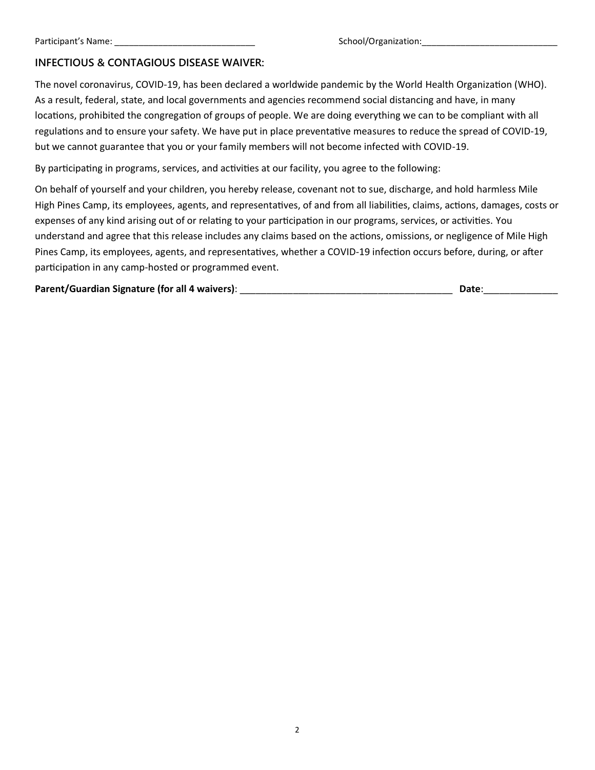### **INFECTIOUS & CONTAGIOUS DISEASE WAIVER:**

The novel coronavirus, COVID-19, has been declared a worldwide pandemic by the World Health Organization (WHO). As a result, federal, state, and local governments and agencies recommend social distancing and have, in many locations, prohibited the congregation of groups of people. We are doing everything we can to be compliant with all regulations and to ensure your safety. We have put in place preventative measures to reduce the spread of COVID-19, but we cannot guarantee that you or your family members will not become infected with COVID-19.

By participating in programs, services, and activities at our facility, you agree to the following:

On behalf of yourself and your children, you hereby release, covenant not to sue, discharge, and hold harmless Mile High Pines Camp, its employees, agents, and representatives, of and from all liabilities, claims, actions, damages, costs or expenses of any kind arising out of or relating to your participation in our programs, services, or activities. You understand and agree that this release includes any claims based on the actions, omissions, or negligence of Mile High Pines Camp, its employees, agents, and representatives, whether a COVID-19 infection occurs before, during, or after participation in any camp-hosted or programmed event.

| Parent/Guardian Signature (for all 4 waivers): | Date: |
|------------------------------------------------|-------|
|------------------------------------------------|-------|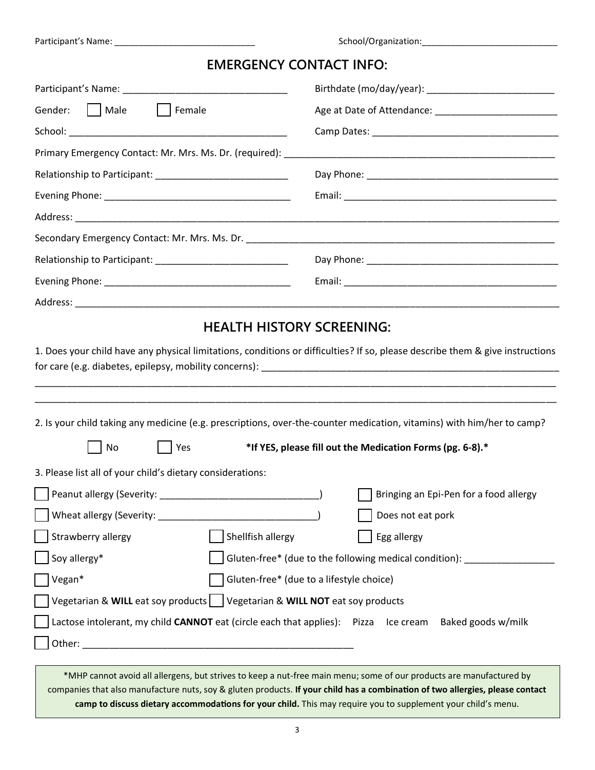## **EMERGENCY CONTACT INFO:**

| Gender:     Male<br>    Female                                                                                                                                                                                                                                                                                                      |                                                                                                                                                                                                                        |  |  |  |
|-------------------------------------------------------------------------------------------------------------------------------------------------------------------------------------------------------------------------------------------------------------------------------------------------------------------------------------|------------------------------------------------------------------------------------------------------------------------------------------------------------------------------------------------------------------------|--|--|--|
|                                                                                                                                                                                                                                                                                                                                     |                                                                                                                                                                                                                        |  |  |  |
|                                                                                                                                                                                                                                                                                                                                     |                                                                                                                                                                                                                        |  |  |  |
|                                                                                                                                                                                                                                                                                                                                     |                                                                                                                                                                                                                        |  |  |  |
|                                                                                                                                                                                                                                                                                                                                     |                                                                                                                                                                                                                        |  |  |  |
|                                                                                                                                                                                                                                                                                                                                     |                                                                                                                                                                                                                        |  |  |  |
|                                                                                                                                                                                                                                                                                                                                     |                                                                                                                                                                                                                        |  |  |  |
| Relationship to Participant: ______________________________                                                                                                                                                                                                                                                                         |                                                                                                                                                                                                                        |  |  |  |
|                                                                                                                                                                                                                                                                                                                                     |                                                                                                                                                                                                                        |  |  |  |
|                                                                                                                                                                                                                                                                                                                                     |                                                                                                                                                                                                                        |  |  |  |
|                                                                                                                                                                                                                                                                                                                                     |                                                                                                                                                                                                                        |  |  |  |
| 2. Is your child taking any medicine (e.g. prescriptions, over-the-counter medication, vitamins) with him/her to camp?                                                                                                                                                                                                              |                                                                                                                                                                                                                        |  |  |  |
| No<br>Yes                                                                                                                                                                                                                                                                                                                           | *If YES, please fill out the Medication Forms (pg. 6-8).*                                                                                                                                                              |  |  |  |
| 3. Please list all of your child's dietary considerations:<br>Wheat allergy (Severity: _<br>Strawberry allergy<br>Shellfish allergy<br>Soy allergy*<br>Vegan*<br>Vegetarian & WILL eat soy products   Vegetarian & WILL NOT eat soy products<br>Lactose intolerant, my child CANNOT eat (circle each that applies): Pizza Ice cream | Bringing an Epi-Pen for a food allergy<br>Does not eat pork<br>Egg allergy<br>Gluten-free* (due to the following medical condition): _______________<br>Gluten-free* (due to a lifestyle choice)<br>Baked goods w/milk |  |  |  |

\*MHP cannot avoid all allergens, but strives to keep a nut-free main menu; some of our products are manufactured by companies that also manufacture nuts, soy & gluten products. **If your child has a combination of two allergies, please contact camp to discuss dietary accommodations for your child.** This may require you to supplement your child's menu.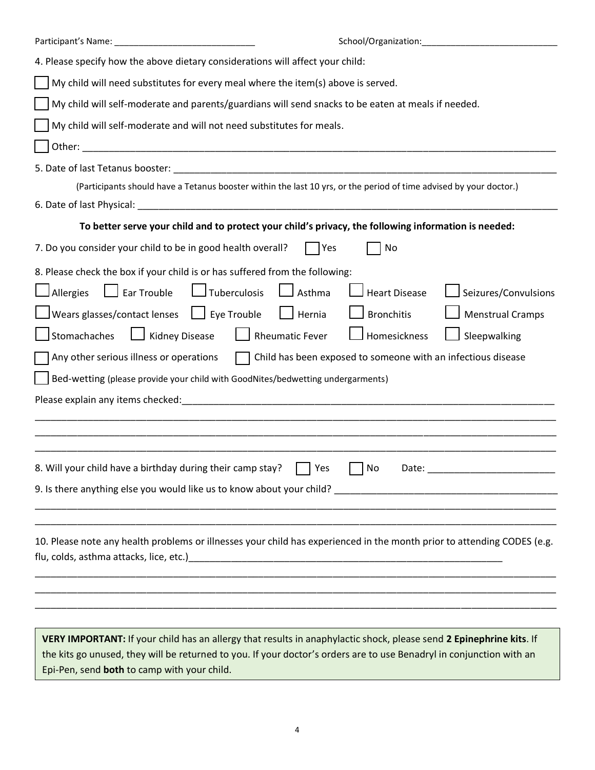|                                                                                                                                                                                                                                             | School/Organization: Management Control of the School/Organization: |  |  |  |  |  |
|---------------------------------------------------------------------------------------------------------------------------------------------------------------------------------------------------------------------------------------------|---------------------------------------------------------------------|--|--|--|--|--|
| 4. Please specify how the above dietary considerations will affect your child:                                                                                                                                                              |                                                                     |  |  |  |  |  |
| My child will need substitutes for every meal where the item(s) above is served.                                                                                                                                                            |                                                                     |  |  |  |  |  |
| My child will self-moderate and parents/guardians will send snacks to be eaten at meals if needed.                                                                                                                                          |                                                                     |  |  |  |  |  |
| My child will self-moderate and will not need substitutes for meals.                                                                                                                                                                        |                                                                     |  |  |  |  |  |
|                                                                                                                                                                                                                                             |                                                                     |  |  |  |  |  |
|                                                                                                                                                                                                                                             |                                                                     |  |  |  |  |  |
| (Participants should have a Tetanus booster within the last 10 yrs, or the period of time advised by your doctor.)                                                                                                                          |                                                                     |  |  |  |  |  |
|                                                                                                                                                                                                                                             |                                                                     |  |  |  |  |  |
| To better serve your child and to protect your child's privacy, the following information is needed:                                                                                                                                        |                                                                     |  |  |  |  |  |
| 7. Do you consider your child to be in good health overall?<br>  Yes                                                                                                                                                                        | No                                                                  |  |  |  |  |  |
| 8. Please check the box if your child is or has suffered from the following:                                                                                                                                                                |                                                                     |  |  |  |  |  |
| $\Box$ Ear Trouble $\Box$ Tuberculosis<br>$\Box$ Asthma<br>$\Box$ Allergies                                                                                                                                                                 | <b>Heart Disease</b><br>Seizures/Convulsions                        |  |  |  |  |  |
| Wears glasses/contact lenses     Eye Trouble<br>$\Box$ Hernia                                                                                                                                                                               | $\Box$ Bronchitis<br><b>Menstrual Cramps</b>                        |  |  |  |  |  |
| Kidney Disease<br>Rheumatic Fever<br>Stomachaches                                                                                                                                                                                           | Homesickness<br>Sleepwalking                                        |  |  |  |  |  |
| Any other serious illness or operations                                                                                                                                                                                                     | Child has been exposed to someone with an infectious disease        |  |  |  |  |  |
| Bed-wetting (please provide your child with GoodNites/bedwetting undergarments)                                                                                                                                                             |                                                                     |  |  |  |  |  |
|                                                                                                                                                                                                                                             |                                                                     |  |  |  |  |  |
|                                                                                                                                                                                                                                             |                                                                     |  |  |  |  |  |
|                                                                                                                                                                                                                                             |                                                                     |  |  |  |  |  |
| 8. Will your child have a birthday during their camp stay? $\Box$ Yes                                                                                                                                                                       | No Date: ________________________                                   |  |  |  |  |  |
|                                                                                                                                                                                                                                             |                                                                     |  |  |  |  |  |
|                                                                                                                                                                                                                                             |                                                                     |  |  |  |  |  |
|                                                                                                                                                                                                                                             |                                                                     |  |  |  |  |  |
| 10. Please note any health problems or illnesses your child has experienced in the month prior to attending CODES (e.g.                                                                                                                     |                                                                     |  |  |  |  |  |
|                                                                                                                                                                                                                                             |                                                                     |  |  |  |  |  |
|                                                                                                                                                                                                                                             |                                                                     |  |  |  |  |  |
|                                                                                                                                                                                                                                             |                                                                     |  |  |  |  |  |
|                                                                                                                                                                                                                                             |                                                                     |  |  |  |  |  |
| VERY IMPORTANT: If your child has an allergy that results in anaphylactic shock, please send 2 Epinephrine kits. If<br>the kits go unused, they will be returned to you. If your doctor's orders are to use Benadryl in conjunction with an |                                                                     |  |  |  |  |  |

Epi-Pen, send **both** to camp with your child.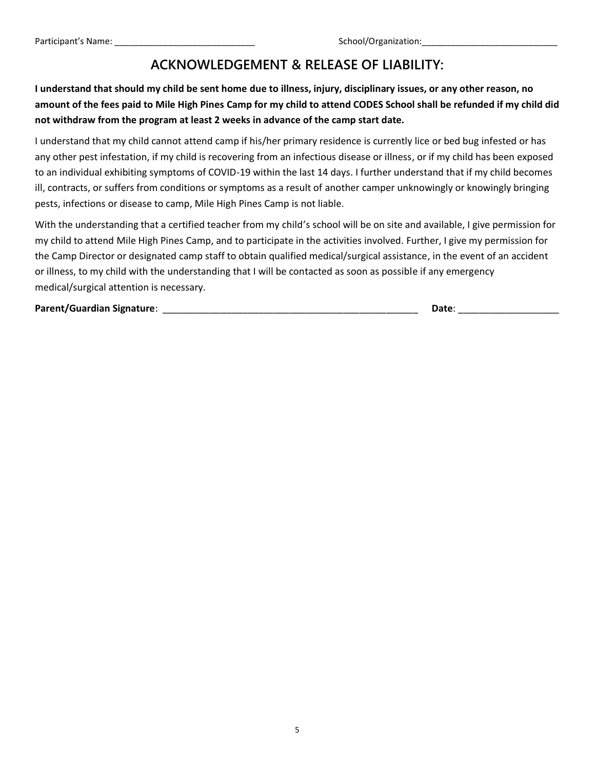# **ACKNOWLEDGEMENT & RELEASE OF LIABILITY:**

**I understand that should my child be sent home due to illness, injury, disciplinary issues, or any other reason, no amount of the fees paid to Mile High Pines Camp for my child to attend CODES School shall be refunded if my child did not withdraw from the program at least 2 weeks in advance of the camp start date.** 

I understand that my child cannot attend camp if his/her primary residence is currently lice or bed bug infested or has any other pest infestation, if my child is recovering from an infectious disease or illness, or if my child has been exposed to an individual exhibiting symptoms of COVID-19 within the last 14 days. I further understand that if my child becomes ill, contracts, or suffers from conditions or symptoms as a result of another camper unknowingly or knowingly bringing pests, infections or disease to camp, Mile High Pines Camp is not liable.

With the understanding that a certified teacher from my child's school will be on site and available, I give permission for my child to attend Mile High Pines Camp, and to participate in the activities involved. Further, I give my permission for the Camp Director or designated camp staff to obtain qualified medical/surgical assistance, in the event of an accident or illness, to my child with the understanding that I will be contacted as soon as possible if any emergency medical/surgical attention is necessary.

**Parent/Guardian Signature**: \_\_\_\_\_\_\_\_\_\_\_\_\_\_\_\_\_\_\_\_\_\_\_\_\_\_\_\_\_\_\_\_\_\_\_\_\_\_\_\_\_\_\_\_\_\_\_\_ **Date**: \_\_\_\_\_\_\_\_\_\_\_\_\_\_\_\_\_\_\_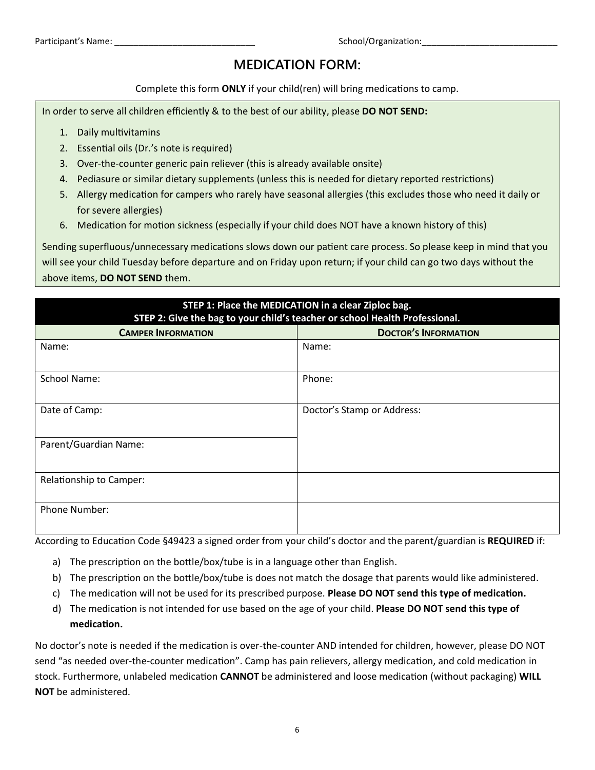# **MEDICATION FORM:**

Complete this form **ONLY** if your child(ren) will bring medications to camp.

In order to serve all children efficiently & to the best of our ability, please **DO NOT SEND:**

- 1. Daily multivitamins
- 2. Essential oils (Dr.'s note is required)
- 3. Over-the-counter generic pain reliever (this is already available onsite)
- 4. Pediasure or similar dietary supplements (unless this is needed for dietary reported restrictions)
- 5. Allergy medication for campers who rarely have seasonal allergies (this excludes those who need it daily or for severe allergies)
- 6. Medication for motion sickness (especially if your child does NOT have a known history of this)

Sending superfluous/unnecessary medications slows down our patient care process. So please keep in mind that you will see your child Tuesday before departure and on Friday upon return; if your child can go two days without the above items, **DO NOT SEND** them.

| STEP 1: Place the MEDICATION in a clear Ziploc bag.<br>STEP 2: Give the bag to your child's teacher or school Health Professional. |                             |  |  |  |  |
|------------------------------------------------------------------------------------------------------------------------------------|-----------------------------|--|--|--|--|
| <b>CAMPER INFORMATION</b>                                                                                                          | <b>DOCTOR'S INFORMATION</b> |  |  |  |  |
| Name:                                                                                                                              | Name:                       |  |  |  |  |
| <b>School Name:</b>                                                                                                                | Phone:                      |  |  |  |  |
| Date of Camp:                                                                                                                      | Doctor's Stamp or Address:  |  |  |  |  |
| Parent/Guardian Name:                                                                                                              |                             |  |  |  |  |
| Relationship to Camper:                                                                                                            |                             |  |  |  |  |
| <b>Phone Number:</b>                                                                                                               |                             |  |  |  |  |

According to Education Code §49423 a signed order from your child's doctor and the parent/guardian is **REQUIRED** if:

- a) The prescription on the bottle/box/tube is in a language other than English.
- b) The prescription on the bottle/box/tube is does not match the dosage that parents would like administered.
- c) The medication will not be used for its prescribed purpose. **Please DO NOT send this type of medication.**
- d) The medication is not intended for use based on the age of your child. **Please DO NOT send this type of medication.**

No doctor's note is needed if the medication is over-the-counter AND intended for children, however, please DO NOT send "as needed over-the-counter medication". Camp has pain relievers, allergy medication, and cold medication in stock. Furthermore, unlabeled medication **CANNOT** be administered and loose medication (without packaging) **WILL NOT** be administered.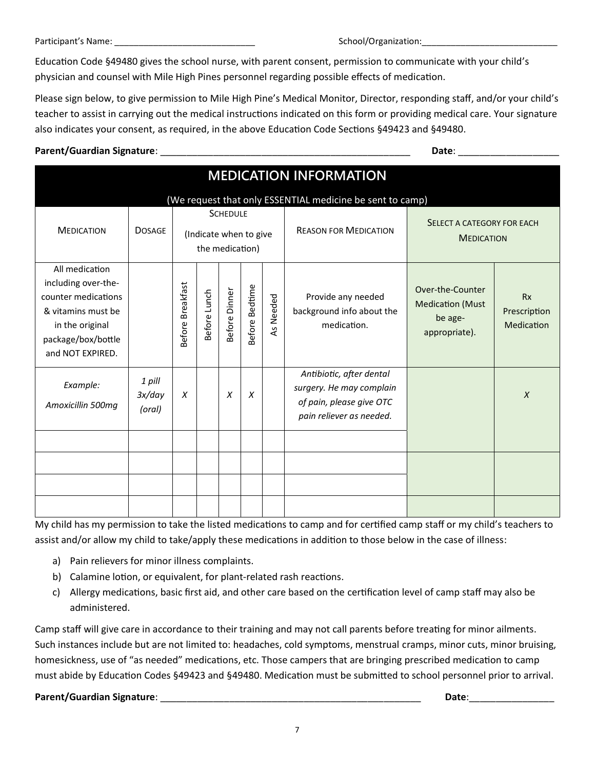Education Code §49480 gives the school nurse, with parent consent, permission to communicate with your child's physician and counsel with Mile High Pines personnel regarding possible effects of medication.

Please sign below, to give permission to Mile High Pine's Medical Monitor, Director, responding staff, and/or your child's teacher to assist in carrying out the medical instructions indicated on this form or providing medical care. Your signature also indicates your consent, as required, in the above Education Code Sections §49423 and §49480.

### **Parent/Guardian Signature**: \_\_\_\_\_\_\_\_\_\_\_\_\_\_\_\_\_\_\_\_\_\_\_\_\_\_\_\_\_\_\_\_\_\_\_\_\_\_\_\_\_\_\_\_\_\_\_ **Date**: \_\_\_\_\_\_\_\_\_\_\_\_\_\_\_\_\_\_\_

| <b>MEDICATION INFORMATION</b>                                                                                                                   |                            |                                                              |              |               |                       |           |                                                                                                              |                                                                         |                                         |  |
|-------------------------------------------------------------------------------------------------------------------------------------------------|----------------------------|--------------------------------------------------------------|--------------|---------------|-----------------------|-----------|--------------------------------------------------------------------------------------------------------------|-------------------------------------------------------------------------|-----------------------------------------|--|
| (We request that only ESSENTIAL medicine be sent to camp)                                                                                       |                            |                                                              |              |               |                       |           |                                                                                                              |                                                                         |                                         |  |
| <b>MEDICATION</b>                                                                                                                               | <b>DOSAGE</b>              | <b>SCHEDULE</b><br>(Indicate when to give<br>the medication) |              |               |                       |           | <b>REASON FOR MEDICATION</b>                                                                                 | SELECT A CATEGORY FOR EACH<br><b>MEDICATION</b>                         |                                         |  |
| All medication<br>including over-the-<br>counter medications<br>& vitamins must be<br>in the original<br>package/box/bottle<br>and NOT EXPIRED. |                            | <b>Breakfast</b><br>Before I                                 | Before Lunch | Before Dinner | <b>Before Bedtime</b> | As Needed | Provide any needed<br>background info about the<br>medication.                                               | Over-the-Counter<br><b>Medication (Must</b><br>be age-<br>appropriate). | <b>Rx</b><br>Prescription<br>Medication |  |
| Example:<br>Amoxicillin 500mg                                                                                                                   | 1 pill<br>3x/day<br>(oral) | X                                                            |              | X             | X                     |           | Antibiotic, after dental<br>surgery. He may complain<br>of pain, please give OTC<br>pain reliever as needed. |                                                                         | $\chi$                                  |  |
|                                                                                                                                                 |                            |                                                              |              |               |                       |           |                                                                                                              |                                                                         |                                         |  |

My child has my permission to take the listed medications to camp and for certified camp staff or my child's teachers to assist and/or allow my child to take/apply these medications in addition to those below in the case of illness:

- a) Pain relievers for minor illness complaints.
- b) Calamine lotion, or equivalent, for plant-related rash reactions.
- c) Allergy medications, basic first aid, and other care based on the certification level of camp staff may also be administered.

Camp staff will give care in accordance to their training and may not call parents before treating for minor ailments. Such instances include but are not limited to: headaches, cold symptoms, menstrual cramps, minor cuts, minor bruising, homesickness, use of "as needed" medications, etc. Those campers that are bringing prescribed medication to camp must abide by Education Codes §49423 and §49480. Medication must be submitted to school personnel prior to arrival.

### **Parent/Guardian Signature**: \_\_\_\_\_\_\_\_\_\_\_\_\_\_\_\_\_\_\_\_\_\_\_\_\_\_\_\_\_\_\_\_\_\_\_\_\_\_\_\_\_\_\_\_\_\_\_\_\_ **Date**:\_\_\_\_\_\_\_\_\_\_\_\_\_\_\_\_